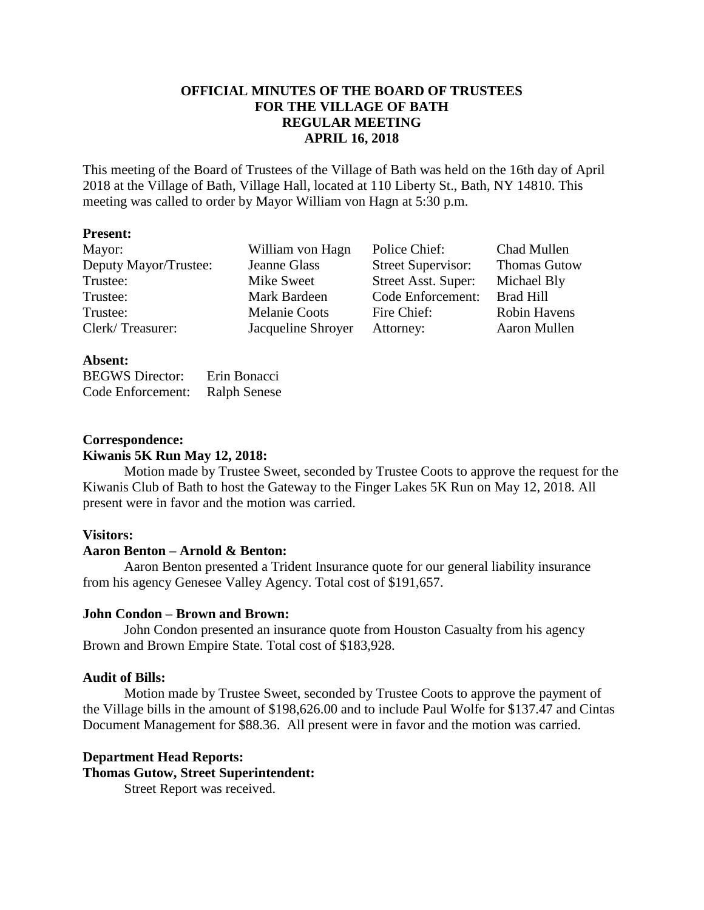## **OFFICIAL MINUTES OF THE BOARD OF TRUSTEES FOR THE VILLAGE OF BATH REGULAR MEETING APRIL 16, 2018**

This meeting of the Board of Trustees of the Village of Bath was held on the 16th day of April 2018 at the Village of Bath, Village Hall, located at 110 Liberty St., Bath, NY 14810. This meeting was called to order by Mayor William von Hagn at 5:30 p.m.

## **Present:**

| Mayor:                | William von Hagn     | Police Chief:             | Chad Mullen         |
|-----------------------|----------------------|---------------------------|---------------------|
| Deputy Mayor/Trustee: | Jeanne Glass         | <b>Street Supervisor:</b> | <b>Thomas Gutow</b> |
| Trustee:              | Mike Sweet           | Street Asst. Super:       | Michael Bly         |
| Trustee:              | Mark Bardeen         | Code Enforcement:         | <b>Brad Hill</b>    |
| Trustee:              | <b>Melanie Coots</b> | Fire Chief:               | Robin Havens        |
| Clerk/Treasurer:      | Jacqueline Shroyer   | Attorney:                 | Aaron Mullen        |

## **Absent:**

BEGWS Director: Erin Bonacci Code Enforcement: Ralph Senese

#### **Correspondence: Kiwanis 5K Run May 12, 2018:**

Motion made by Trustee Sweet, seconded by Trustee Coots to approve the request for the Kiwanis Club of Bath to host the Gateway to the Finger Lakes 5K Run on May 12, 2018. All present were in favor and the motion was carried.

#### **Visitors:**

#### **Aaron Benton – Arnold & Benton:**

Aaron Benton presented a Trident Insurance quote for our general liability insurance from his agency Genesee Valley Agency. Total cost of \$191,657.

## **John Condon – Brown and Brown:**

John Condon presented an insurance quote from Houston Casualty from his agency Brown and Brown Empire State. Total cost of \$183,928.

#### **Audit of Bills:**

Motion made by Trustee Sweet, seconded by Trustee Coots to approve the payment of the Village bills in the amount of \$198,626.00 and to include Paul Wolfe for \$137.47 and Cintas Document Management for \$88.36. All present were in favor and the motion was carried.

#### **Department Head Reports:**

**Thomas Gutow, Street Superintendent:**

Street Report was received.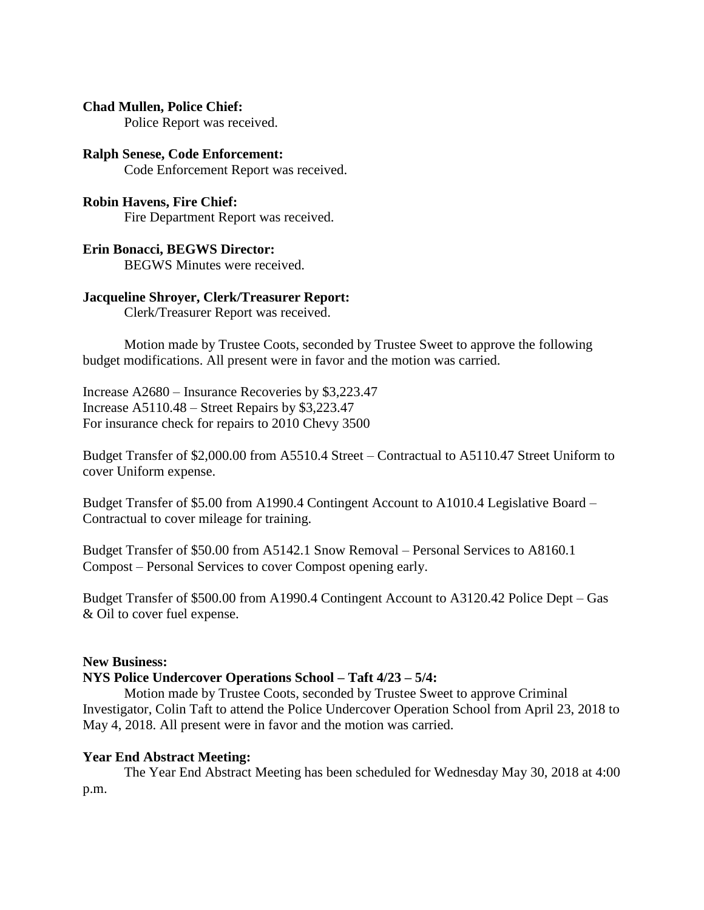## **Chad Mullen, Police Chief:**

Police Report was received.

#### **Ralph Senese, Code Enforcement:** Code Enforcement Report was received.

# **Robin Havens, Fire Chief:**

Fire Department Report was received.

## **Erin Bonacci, BEGWS Director:**

BEGWS Minutes were received.

## **Jacqueline Shroyer, Clerk/Treasurer Report:**

Clerk/Treasurer Report was received.

Motion made by Trustee Coots, seconded by Trustee Sweet to approve the following budget modifications. All present were in favor and the motion was carried.

Increase A2680 – Insurance Recoveries by \$3,223.47 Increase A5110.48 – Street Repairs by \$3,223.47 For insurance check for repairs to 2010 Chevy 3500

Budget Transfer of \$2,000.00 from A5510.4 Street – Contractual to A5110.47 Street Uniform to cover Uniform expense.

Budget Transfer of \$5.00 from A1990.4 Contingent Account to A1010.4 Legislative Board – Contractual to cover mileage for training.

Budget Transfer of \$50.00 from A5142.1 Snow Removal – Personal Services to A8160.1 Compost – Personal Services to cover Compost opening early.

Budget Transfer of \$500.00 from A1990.4 Contingent Account to A3120.42 Police Dept – Gas & Oil to cover fuel expense.

#### **New Business:**

## **NYS Police Undercover Operations School – Taft 4/23 – 5/4:**

Motion made by Trustee Coots, seconded by Trustee Sweet to approve Criminal Investigator, Colin Taft to attend the Police Undercover Operation School from April 23, 2018 to May 4, 2018. All present were in favor and the motion was carried.

## **Year End Abstract Meeting:**

The Year End Abstract Meeting has been scheduled for Wednesday May 30, 2018 at 4:00 p.m.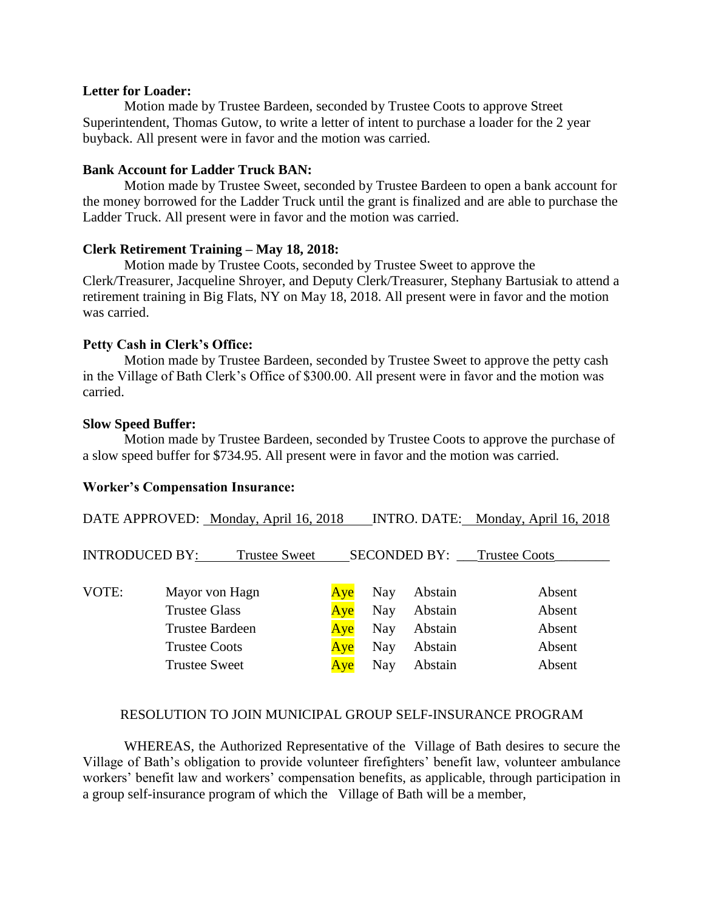#### **Letter for Loader:**

Motion made by Trustee Bardeen, seconded by Trustee Coots to approve Street Superintendent, Thomas Gutow, to write a letter of intent to purchase a loader for the 2 year buyback. All present were in favor and the motion was carried.

#### **Bank Account for Ladder Truck BAN:**

Motion made by Trustee Sweet, seconded by Trustee Bardeen to open a bank account for the money borrowed for the Ladder Truck until the grant is finalized and are able to purchase the Ladder Truck. All present were in favor and the motion was carried.

#### **Clerk Retirement Training – May 18, 2018:**

Motion made by Trustee Coots, seconded by Trustee Sweet to approve the Clerk/Treasurer, Jacqueline Shroyer, and Deputy Clerk/Treasurer, Stephany Bartusiak to attend a retirement training in Big Flats, NY on May 18, 2018. All present were in favor and the motion was carried.

#### **Petty Cash in Clerk's Office:**

Motion made by Trustee Bardeen, seconded by Trustee Sweet to approve the petty cash in the Village of Bath Clerk's Office of \$300.00. All present were in favor and the motion was carried.

#### **Slow Speed Buffer:**

Motion made by Trustee Bardeen, seconded by Trustee Coots to approve the purchase of a slow speed buffer for \$734.95. All present were in favor and the motion was carried.

#### **Worker's Compensation Insurance:**

|                       | DATE APPROVED: Monday, April 16, 2018                                                                            |                                 |                                               |                                                     | INTRO. DATE: Monday, April 16, 2018            |
|-----------------------|------------------------------------------------------------------------------------------------------------------|---------------------------------|-----------------------------------------------|-----------------------------------------------------|------------------------------------------------|
| <b>INTRODUCED BY:</b> | <b>Trustee Sweet</b>                                                                                             |                                 |                                               |                                                     | <b>SECONDED BY:</b> Trustee Coots              |
| VOTE:                 | Mayor von Hagn<br><b>Trustee Glass</b><br><b>Trustee Bardeen</b><br><b>Trustee Coots</b><br><b>Trustee Sweet</b> | Aye<br>Aye<br>Aye<br>Aye<br>Ave | Nay<br><b>Nay</b><br><b>Nay</b><br>Nay<br>Nay | Abstain<br>Abstain<br>Abstain<br>Abstain<br>Abstain | Absent<br>Absent<br>Absent<br>Absent<br>Absent |

## RESOLUTION TO JOIN MUNICIPAL GROUP SELF-INSURANCE PROGRAM

WHEREAS, the Authorized Representative of the Village of Bath desires to secure the Village of Bath's obligation to provide volunteer firefighters' benefit law, volunteer ambulance workers' benefit law and workers' compensation benefits, as applicable, through participation in a group self-insurance program of which the Village of Bath will be a member,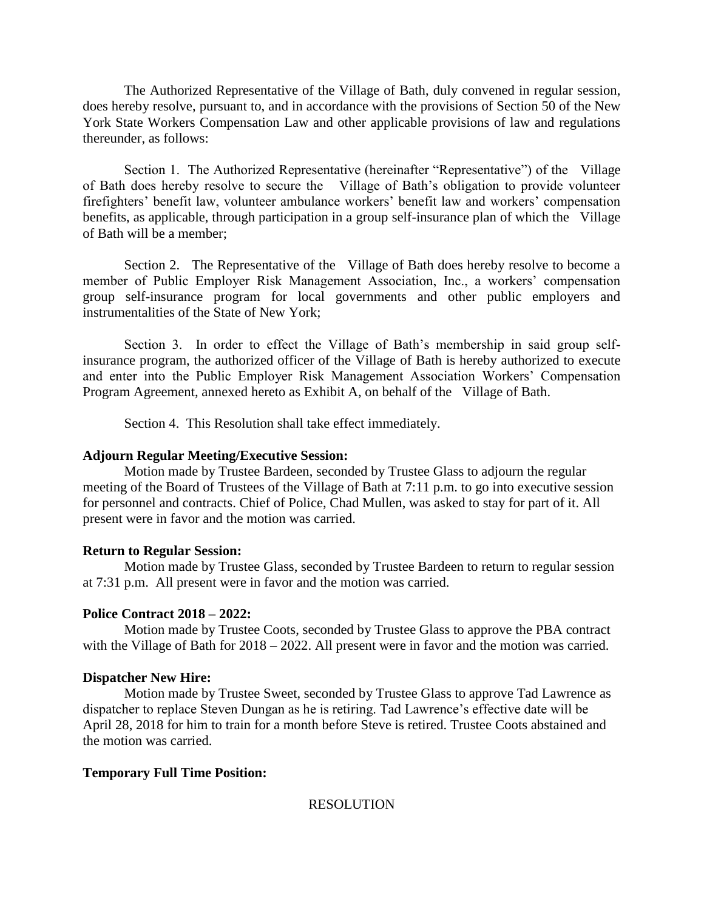The Authorized Representative of the Village of Bath, duly convened in regular session, does hereby resolve, pursuant to, and in accordance with the provisions of Section 50 of the New York State Workers Compensation Law and other applicable provisions of law and regulations thereunder, as follows:

Section 1. The Authorized Representative (hereinafter "Representative") of the Village of Bath does hereby resolve to secure the Village of Bath's obligation to provide volunteer firefighters' benefit law, volunteer ambulance workers' benefit law and workers' compensation benefits, as applicable, through participation in a group self-insurance plan of which the Village of Bath will be a member;

Section 2. The Representative of the Village of Bath does hereby resolve to become a member of Public Employer Risk Management Association, Inc., a workers' compensation group self-insurance program for local governments and other public employers and instrumentalities of the State of New York;

Section 3. In order to effect the Village of Bath's membership in said group selfinsurance program, the authorized officer of the Village of Bath is hereby authorized to execute and enter into the Public Employer Risk Management Association Workers' Compensation Program Agreement, annexed hereto as Exhibit A, on behalf of the Village of Bath.

Section 4. This Resolution shall take effect immediately.

#### **Adjourn Regular Meeting/Executive Session:**

Motion made by Trustee Bardeen, seconded by Trustee Glass to adjourn the regular meeting of the Board of Trustees of the Village of Bath at 7:11 p.m. to go into executive session for personnel and contracts. Chief of Police, Chad Mullen, was asked to stay for part of it. All present were in favor and the motion was carried.

#### **Return to Regular Session:**

Motion made by Trustee Glass, seconded by Trustee Bardeen to return to regular session at 7:31 p.m. All present were in favor and the motion was carried.

#### **Police Contract 2018 – 2022:**

Motion made by Trustee Coots, seconded by Trustee Glass to approve the PBA contract with the Village of Bath for  $2018 - 2022$ . All present were in favor and the motion was carried.

#### **Dispatcher New Hire:**

Motion made by Trustee Sweet, seconded by Trustee Glass to approve Tad Lawrence as dispatcher to replace Steven Dungan as he is retiring. Tad Lawrence's effective date will be April 28, 2018 for him to train for a month before Steve is retired. Trustee Coots abstained and the motion was carried.

#### **Temporary Full Time Position:**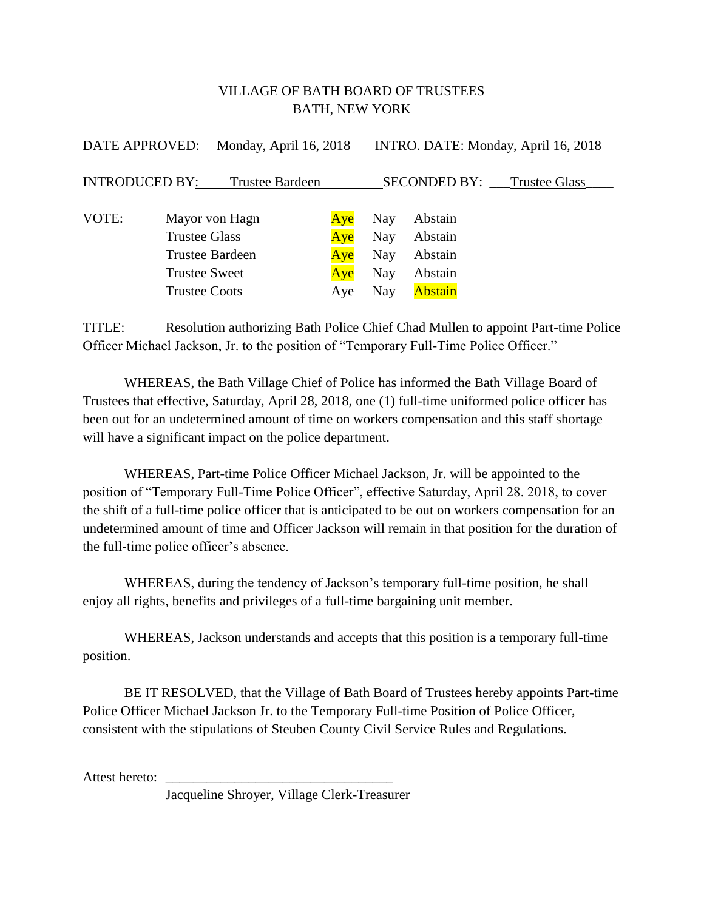## VILLAGE OF BATH BOARD OF TRUSTEES BATH, NEW YORK

 $D$   $\overline{D}$   $\overline{D}$   $\overline{D}$   $\overline{D}$   $\overline{D}$   $\overline{D}$   $\overline{D}$   $\overline{D}$   $\overline{D}$   $\overline{D}$   $\overline{D}$   $\overline{D}$   $\overline{D}$   $\overline{D}$   $\overline{D}$   $\overline{D}$   $\overline{D}$   $\overline{D}$   $\overline{D}$   $\overline{D}$   $\overline{D}$   $\overline{D}$   $\overline{D}$   $\overline{D}$ 

| DATE APPROVED: Monday, April 16, 2018 INTRO. DATE: Monday, April 16, 2018 |                      |                |            |                                   |                |  |
|---------------------------------------------------------------------------|----------------------|----------------|------------|-----------------------------------|----------------|--|
| <b>INTRODUCED BY:</b><br><b>Trustee Bardeen</b>                           |                      |                |            | <b>SECONDED BY:</b> Trustee Glass |                |  |
| VOTE:                                                                     |                      | Mayor von Hagn | Aye        | Nay                               | Abstain        |  |
|                                                                           | Trustee Glass        |                | Ave        | Nay                               | Abstain        |  |
| Trustee Bardeen                                                           |                      | Aye            | <b>Nay</b> | Abstain                           |                |  |
|                                                                           | <b>Trustee Sweet</b> |                | Aye        | Nay                               | Abstain        |  |
|                                                                           | <b>Trustee Coots</b> |                | Aye        | Nay                               | <b>Abstain</b> |  |

TITLE: Resolution authorizing Bath Police Chief Chad Mullen to appoint Part-time Police Officer Michael Jackson, Jr. to the position of "Temporary Full-Time Police Officer."

WHEREAS, the Bath Village Chief of Police has informed the Bath Village Board of Trustees that effective, Saturday, April 28, 2018, one (1) full-time uniformed police officer has been out for an undetermined amount of time on workers compensation and this staff shortage will have a significant impact on the police department.

WHEREAS, Part-time Police Officer Michael Jackson, Jr. will be appointed to the position of "Temporary Full-Time Police Officer", effective Saturday, April 28. 2018, to cover the shift of a full-time police officer that is anticipated to be out on workers compensation for an undetermined amount of time and Officer Jackson will remain in that position for the duration of the full-time police officer's absence.

WHEREAS, during the tendency of Jackson's temporary full-time position, he shall enjoy all rights, benefits and privileges of a full-time bargaining unit member.

WHEREAS, Jackson understands and accepts that this position is a temporary full-time position.

BE IT RESOLVED, that the Village of Bath Board of Trustees hereby appoints Part-time Police Officer Michael Jackson Jr. to the Temporary Full-time Position of Police Officer, consistent with the stipulations of Steuben County Civil Service Rules and Regulations.

Attest hereto:

Jacqueline Shroyer, Village Clerk-Treasurer